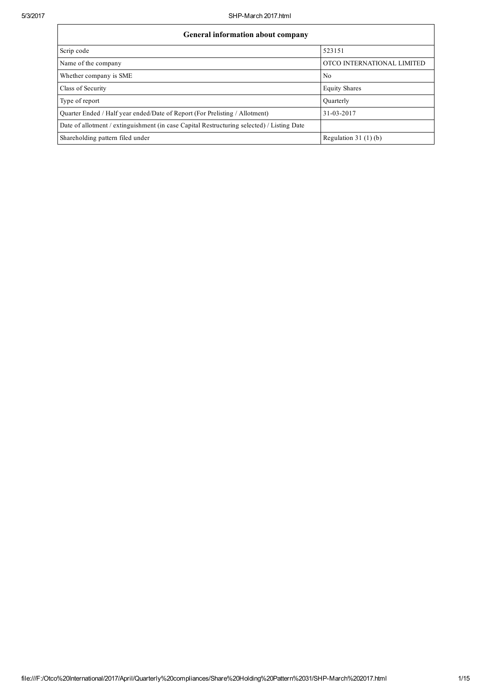| <b>General information about company</b>                                                   |                            |  |  |  |  |  |  |
|--------------------------------------------------------------------------------------------|----------------------------|--|--|--|--|--|--|
| Scrip code                                                                                 | 523151                     |  |  |  |  |  |  |
| Name of the company                                                                        | OTCO INTERNATIONAL LIMITED |  |  |  |  |  |  |
| Whether company is SME                                                                     | No                         |  |  |  |  |  |  |
| Class of Security                                                                          | <b>Equity Shares</b>       |  |  |  |  |  |  |
| Type of report                                                                             | Ouarterly                  |  |  |  |  |  |  |
| Quarter Ended / Half year ended/Date of Report (For Prelisting / Allotment)                | 31-03-2017                 |  |  |  |  |  |  |
| Date of allotment / extinguishment (in case Capital Restructuring selected) / Listing Date |                            |  |  |  |  |  |  |
| Shareholding pattern filed under                                                           | Regulation $31(1)(b)$      |  |  |  |  |  |  |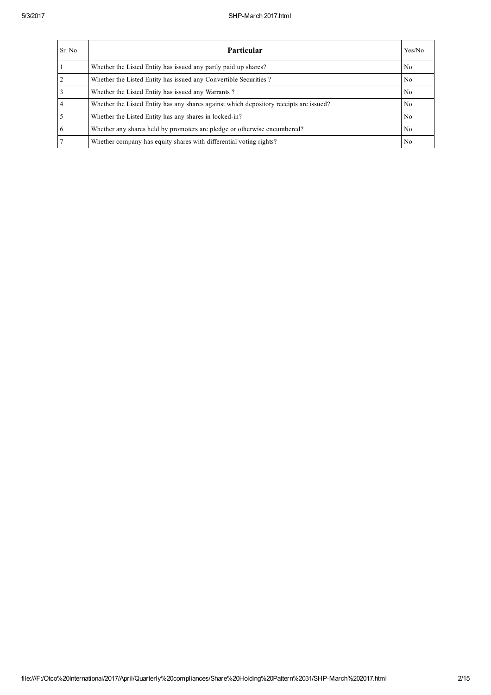| Sr. No. | Particular                                                                             | Yes/No |
|---------|----------------------------------------------------------------------------------------|--------|
|         | Whether the Listed Entity has issued any partly paid up shares?                        | No     |
|         | Whether the Listed Entity has issued any Convertible Securities?                       | No.    |
|         | Whether the Listed Entity has issued any Warrants?                                     | No     |
|         | Whether the Listed Entity has any shares against which depository receipts are issued? | No     |
|         | Whether the Listed Entity has any shares in locked-in?                                 | No.    |
|         | Whether any shares held by promoters are pledge or otherwise encumbered?               | No.    |
|         | Whether company has equity shares with differential voting rights?                     | No     |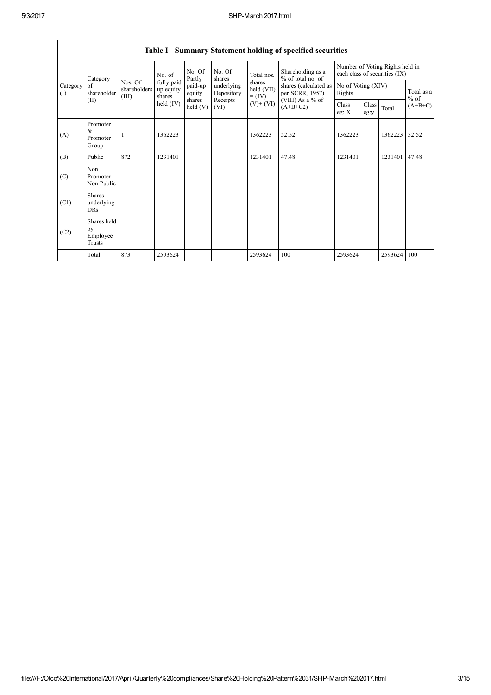|                                           | Table I - Summary Statement holding of specified securities |                                  |                                   |                      |                          |                                                  |                                          |                              |               |                                                                  |                      |
|-------------------------------------------|-------------------------------------------------------------|----------------------------------|-----------------------------------|----------------------|--------------------------|--------------------------------------------------|------------------------------------------|------------------------------|---------------|------------------------------------------------------------------|----------------------|
| Category<br>Category<br>of<br>(1)<br>(II) |                                                             |                                  | No. of                            | No. Of<br>Partly     | No. Of<br>shares         | Total nos.                                       | Shareholding as a<br>% of total no. of   |                              |               | Number of Voting Rights held in<br>each class of securities (IX) |                      |
|                                           | shareholder                                                 | Nos. Of<br>shareholders<br>(III) | fully paid<br>up equity<br>shares | paid-up<br>equity    | underlying<br>Depository | shares<br>held (VII)<br>$= (IV) +$<br>$(V)+(VI)$ | shares (calculated as<br>per SCRR, 1957) | No of Voting (XIV)<br>Rights |               |                                                                  | Total as a<br>$%$ of |
|                                           |                                                             |                                  | held $(IV)$                       | shares<br>held $(V)$ | Receipts<br>(VI)         |                                                  | (VIII) As a % of<br>$(A+B+C2)$           | <b>Class</b><br>eg: $X$      | Class<br>eg:y | Total                                                            | $(A+B+C)$            |
| (A)                                       | Promoter<br>&<br>Promoter<br>Group                          |                                  | 1362223                           |                      |                          | 1362223                                          | 52.52                                    | 1362223                      |               | 1362223                                                          | 52.52                |
| (B)                                       | Public                                                      | 872                              | 1231401                           |                      |                          | 1231401                                          | 47.48                                    | 1231401                      |               | 1231401                                                          | 47.48                |
| (C)                                       | Non<br>Promoter-<br>Non Public                              |                                  |                                   |                      |                          |                                                  |                                          |                              |               |                                                                  |                      |
| (C1)                                      | <b>Shares</b><br>underlying<br><b>DRs</b>                   |                                  |                                   |                      |                          |                                                  |                                          |                              |               |                                                                  |                      |
| (C2)                                      | Shares held<br>by<br>Employee<br>Trusts                     |                                  |                                   |                      |                          |                                                  |                                          |                              |               |                                                                  |                      |
|                                           | Total                                                       | 873                              | 2593624                           |                      |                          | 2593624                                          | 100                                      | 2593624                      |               | 2593624                                                          | 100                  |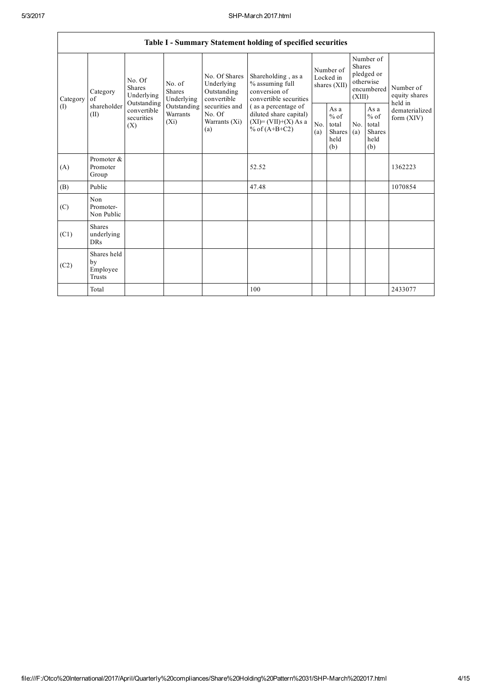|                 | Table I - Summary Statement holding of specified securities |                                                                                                                                |                         |                                                                                                               |                                                                                                                                                                               |                                        |                                                  |                                                                                         |                                                          |                                |  |  |
|-----------------|-------------------------------------------------------------|--------------------------------------------------------------------------------------------------------------------------------|-------------------------|---------------------------------------------------------------------------------------------------------------|-------------------------------------------------------------------------------------------------------------------------------------------------------------------------------|----------------------------------------|--------------------------------------------------|-----------------------------------------------------------------------------------------|----------------------------------------------------------|--------------------------------|--|--|
| Category<br>(I) | Category<br>$\sigma$ f<br>shareholder<br>(II)               | No. Of<br>No. of<br><b>Shares</b><br><b>Shares</b><br>Underlying<br>Outstanding<br>convertible<br>securities<br>$(X_i)$<br>(X) | Underlying              | No. Of Shares<br>Underlying<br>Outstanding<br>convertible<br>securities and<br>No. Of<br>Warrants (Xi)<br>(a) | Shareholding, as a<br>% assuming full<br>conversion of<br>convertible securities<br>(as a percentage of<br>diluted share capital)<br>$(XI)=(VII)+(X) As a$<br>% of $(A+B+C2)$ | Number of<br>Locked in<br>shares (XII) |                                                  | Number of<br><b>Shares</b><br>pledged or<br>otherwise<br>encumbered Number of<br>(XIII) |                                                          | equity shares<br>held in       |  |  |
|                 |                                                             |                                                                                                                                | Outstanding<br>Warrants |                                                                                                               |                                                                                                                                                                               | No.<br>(a)                             | As a<br>$%$ of<br>total<br>Shares<br>held<br>(b) | No.<br>(a)                                                                              | As a<br>$\%$ of<br>total<br><b>Shares</b><br>held<br>(b) | dematerialized<br>form $(XIV)$ |  |  |
| (A)             | Promoter &<br>Promoter<br>Group                             |                                                                                                                                |                         |                                                                                                               | 52.52                                                                                                                                                                         |                                        |                                                  |                                                                                         |                                                          | 1362223                        |  |  |
| (B)             | Public                                                      |                                                                                                                                |                         |                                                                                                               | 47.48                                                                                                                                                                         |                                        |                                                  |                                                                                         |                                                          | 1070854                        |  |  |
| (C)             | Non<br>Promoter-<br>Non Public                              |                                                                                                                                |                         |                                                                                                               |                                                                                                                                                                               |                                        |                                                  |                                                                                         |                                                          |                                |  |  |
| (C1)            | <b>Shares</b><br>underlying<br><b>DRs</b>                   |                                                                                                                                |                         |                                                                                                               |                                                                                                                                                                               |                                        |                                                  |                                                                                         |                                                          |                                |  |  |
| (C2)            | Shares held<br>by<br>Employee<br>Trusts                     |                                                                                                                                |                         |                                                                                                               |                                                                                                                                                                               |                                        |                                                  |                                                                                         |                                                          |                                |  |  |
|                 | Total                                                       |                                                                                                                                |                         |                                                                                                               | 100                                                                                                                                                                           |                                        |                                                  |                                                                                         |                                                          | 2433077                        |  |  |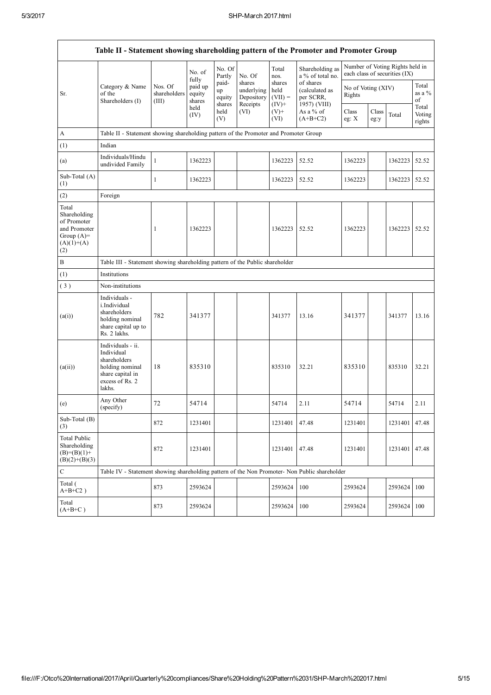$\mathsf{r}$ 

| Table II - Statement showing shareholding pattern of the Promoter and Promoter Group        |                                                                                                                     |                                                                              |                             |                                 |                                                |                                        |                                                          |                              |               |                                                                  |                                  |
|---------------------------------------------------------------------------------------------|---------------------------------------------------------------------------------------------------------------------|------------------------------------------------------------------------------|-----------------------------|---------------------------------|------------------------------------------------|----------------------------------------|----------------------------------------------------------|------------------------------|---------------|------------------------------------------------------------------|----------------------------------|
|                                                                                             |                                                                                                                     |                                                                              | No. of<br>fully             | No. Of<br>Partly                | No. Of                                         | Total<br>nos.                          | Shareholding as<br>a % of total no.                      |                              |               | Number of Voting Rights held in<br>each class of securities (IX) |                                  |
| Sr.                                                                                         | Category & Name<br>of the<br>Shareholders (I)                                                                       | Nos. Of<br>shareholders<br>(III)                                             | paid up<br>equity<br>shares | paid-<br>up<br>equity<br>shares | shares<br>underlying<br>Depository<br>Receipts | shares<br>held<br>$(VII) =$<br>$(IV)+$ | of shares<br>(calculated as<br>per SCRR,<br>1957) (VIII) | No of Voting (XIV)<br>Rights |               |                                                                  | Total<br>as a $%$<br>of<br>Total |
|                                                                                             |                                                                                                                     |                                                                              | held<br>(IV)                | held<br>(V)                     | (VI)                                           | $(V)$ +<br>(VI)                        | As a % of<br>$(A+B+C2)$                                  | Class<br>eg: $X$             | Class<br>eg:y | Total                                                            | Voting<br>rights                 |
| A                                                                                           | Table II - Statement showing shareholding pattern of the Promoter and Promoter Group                                |                                                                              |                             |                                 |                                                |                                        |                                                          |                              |               |                                                                  |                                  |
| (1)                                                                                         | Indian                                                                                                              |                                                                              |                             |                                 |                                                |                                        |                                                          |                              |               |                                                                  |                                  |
| (a)                                                                                         | Individuals/Hindu<br>undivided Family                                                                               | $\mathbf{1}$                                                                 | 1362223                     |                                 |                                                | 1362223                                | 52.52                                                    | 1362223                      |               | 1362223                                                          | 52.52                            |
| Sub-Total (A)<br>$^{(1)}$                                                                   |                                                                                                                     | 1                                                                            | 1362223                     |                                 |                                                | 1362223                                | 52.52                                                    | 1362223                      |               | 1362223                                                          | 52.52                            |
| (2)                                                                                         | Foreign                                                                                                             |                                                                              |                             |                                 |                                                |                                        |                                                          |                              |               |                                                                  |                                  |
| Total<br>Shareholding<br>of Promoter<br>and Promoter<br>Group $(A)=$<br>$(A)(1)+(A)$<br>(2) |                                                                                                                     | 1                                                                            | 1362223                     |                                 |                                                | 1362223                                | 52.52                                                    | 1362223                      |               | 1362223                                                          | 52.52                            |
| B                                                                                           |                                                                                                                     | Table III - Statement showing shareholding pattern of the Public shareholder |                             |                                 |                                                |                                        |                                                          |                              |               |                                                                  |                                  |
| (1)                                                                                         | Institutions                                                                                                        |                                                                              |                             |                                 |                                                |                                        |                                                          |                              |               |                                                                  |                                  |
| (3)                                                                                         | Non-institutions                                                                                                    |                                                                              |                             |                                 |                                                |                                        |                                                          |                              |               |                                                                  |                                  |
| (a(i))                                                                                      | Individuals -<br>i.Individual<br>shareholders<br>holding nominal<br>share capital up to<br>Rs. 2 lakhs.             | 782                                                                          | 341377                      |                                 |                                                | 341377                                 | 13.16                                                    | 341377                       |               | 341377                                                           | 13.16                            |
| (a(ii))                                                                                     | Individuals - ii.<br>Individual<br>shareholders<br>holding nominal<br>share capital in<br>excess of Rs. 2<br>lakhs. | 18                                                                           | 835310                      |                                 |                                                | 835310                                 | 32.21                                                    | 835310                       |               | 835310                                                           | 32.21                            |
| (e)                                                                                         | Any Other<br>(specify)                                                                                              | 72                                                                           | 54714                       |                                 |                                                | 54714                                  | 2.11                                                     | 54714                        |               | 54714                                                            | 2.11                             |
| Sub-Total (B)<br>(3)                                                                        |                                                                                                                     | 872                                                                          | 1231401                     |                                 |                                                | 1231401                                | 47.48                                                    | 1231401                      |               | 1231401                                                          | 47.48                            |
| <b>Total Public</b><br>Shareholding<br>$(B)=(B)(1)+$<br>$(B)(2)+(B)(3)$                     |                                                                                                                     | 872                                                                          | 1231401                     |                                 |                                                | 1231401                                | 47.48                                                    | 1231401                      |               | 1231401                                                          | 47.48                            |
| $\mathbf C$                                                                                 | Table IV - Statement showing shareholding pattern of the Non Promoter- Non Public shareholder                       |                                                                              |                             |                                 |                                                |                                        |                                                          |                              |               |                                                                  |                                  |
| Total (<br>$A+B+C2$ )                                                                       |                                                                                                                     | 873                                                                          | 2593624                     |                                 |                                                | 2593624                                | 100                                                      | 2593624                      |               | 2593624                                                          | 100                              |
| Total<br>$(A+B+C)$                                                                          |                                                                                                                     | 873                                                                          | 2593624                     |                                 |                                                | 2593624                                | 100                                                      | 2593624                      |               | 2593624                                                          | 100                              |

 $\overline{\phantom{a}}$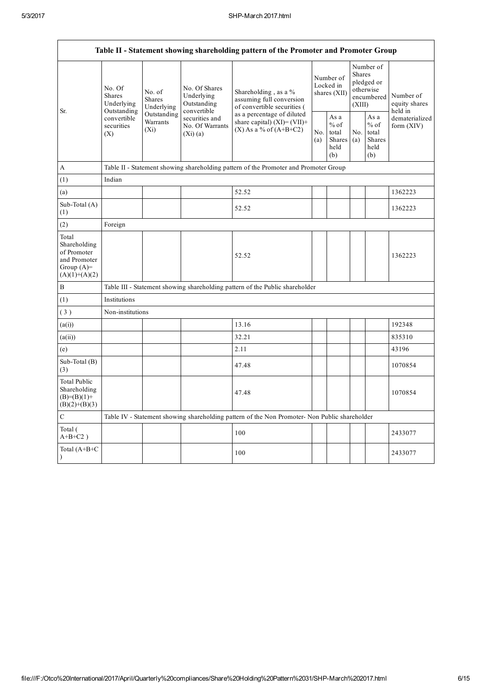$\overline{1}$ 

| Table II - Statement showing shareholding pattern of the Promoter and Promoter Group    |                                                                                          |                                                                                      |                                                           |                                                                                                               |                                        |                                                  |                                                                        |                                                  |                                       |  |  |  |
|-----------------------------------------------------------------------------------------|------------------------------------------------------------------------------------------|--------------------------------------------------------------------------------------|-----------------------------------------------------------|---------------------------------------------------------------------------------------------------------------|----------------------------------------|--------------------------------------------------|------------------------------------------------------------------------|--------------------------------------------------|---------------------------------------|--|--|--|
| Sr.                                                                                     | No. Of<br><b>Shares</b><br>Underlying<br>Outstanding<br>convertible<br>securities<br>(X) | No. of<br>Shares<br>Underlying                                                       | No. Of Shares<br>Underlying<br>Outstanding<br>convertible | Shareholding, as a %<br>assuming full conversion<br>of convertible securities (<br>as a percentage of diluted | Number of<br>Locked in<br>shares (XII) |                                                  | Number of<br>Shares<br>pledged or<br>otherwise<br>encumbered<br>(XIII) |                                                  | Number of<br>equity shares<br>held in |  |  |  |
|                                                                                         |                                                                                          | Outstanding<br>securities and<br>Warrants<br>No. Of Warrants<br>$(X_i)$<br>(Xi)(a)   |                                                           | share capital) $(XI) = (VII) +$<br>$(X)$ As a % of $(A+B+C2)$                                                 |                                        | As a<br>$%$ of<br>total<br>Shares<br>held<br>(b) | No.<br>(a)                                                             | As a<br>$%$ of<br>total<br>Shares<br>held<br>(b) | dematerialized<br>form (XIV)          |  |  |  |
| A                                                                                       |                                                                                          | Table II - Statement showing shareholding pattern of the Promoter and Promoter Group |                                                           |                                                                                                               |                                        |                                                  |                                                                        |                                                  |                                       |  |  |  |
| (1)                                                                                     | Indian                                                                                   |                                                                                      |                                                           |                                                                                                               |                                        |                                                  |                                                                        |                                                  |                                       |  |  |  |
| (a)                                                                                     |                                                                                          |                                                                                      |                                                           | 52.52                                                                                                         |                                        |                                                  |                                                                        |                                                  | 1362223                               |  |  |  |
| Sub-Total (A)<br>(1)                                                                    |                                                                                          |                                                                                      |                                                           | 52.52                                                                                                         |                                        |                                                  |                                                                        |                                                  | 1362223                               |  |  |  |
| (2)                                                                                     | Foreign                                                                                  |                                                                                      |                                                           |                                                                                                               |                                        |                                                  |                                                                        |                                                  |                                       |  |  |  |
| Total<br>Shareholding<br>of Promoter<br>and Promoter<br>Group $(A)=$<br>$(A)(1)+(A)(2)$ |                                                                                          |                                                                                      |                                                           | 52.52                                                                                                         |                                        |                                                  |                                                                        |                                                  | 1362223                               |  |  |  |
| $\, {\bf B}$                                                                            |                                                                                          |                                                                                      |                                                           | Table III - Statement showing shareholding pattern of the Public shareholder                                  |                                        |                                                  |                                                                        |                                                  |                                       |  |  |  |
| (1)                                                                                     | Institutions                                                                             |                                                                                      |                                                           |                                                                                                               |                                        |                                                  |                                                                        |                                                  |                                       |  |  |  |
| (3)                                                                                     | Non-institutions                                                                         |                                                                                      |                                                           |                                                                                                               |                                        |                                                  |                                                                        |                                                  |                                       |  |  |  |
| (a(i))                                                                                  |                                                                                          |                                                                                      |                                                           | 13.16                                                                                                         |                                        |                                                  |                                                                        |                                                  | 192348                                |  |  |  |
| (a(ii))                                                                                 |                                                                                          |                                                                                      |                                                           | 32.21                                                                                                         |                                        |                                                  |                                                                        |                                                  | 835310                                |  |  |  |
| (e)                                                                                     |                                                                                          |                                                                                      |                                                           | 2.11                                                                                                          |                                        |                                                  |                                                                        |                                                  | 43196                                 |  |  |  |
| Sub-Total (B)<br>(3)                                                                    |                                                                                          |                                                                                      |                                                           | 47.48                                                                                                         |                                        |                                                  |                                                                        |                                                  | 1070854                               |  |  |  |
| Total Public<br>Shareholding<br>$(B)= (B)(1) +$<br>$(B)(2)+(B)(3)$                      |                                                                                          |                                                                                      |                                                           | 47.48                                                                                                         |                                        |                                                  |                                                                        |                                                  | 1070854                               |  |  |  |
| $\mathbf C$                                                                             |                                                                                          |                                                                                      |                                                           | Table IV - Statement showing shareholding pattern of the Non Promoter- Non Public shareholder                 |                                        |                                                  |                                                                        |                                                  |                                       |  |  |  |
| Total (<br>$A+B+C2$ )                                                                   |                                                                                          |                                                                                      |                                                           | 100                                                                                                           |                                        |                                                  |                                                                        |                                                  | 2433077                               |  |  |  |
| Total $(A+B+C)$<br>$\mathcal{L}$                                                        |                                                                                          |                                                                                      |                                                           | 100                                                                                                           |                                        |                                                  |                                                                        |                                                  | 2433077                               |  |  |  |

 $\overline{\phantom{a}}$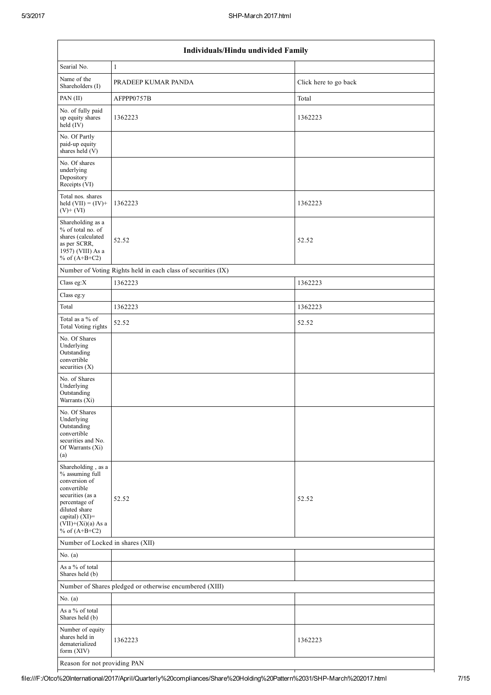| Individuals/Hindu undivided Family                                                                                                                                                       |                                                               |                       |  |  |  |  |  |  |
|------------------------------------------------------------------------------------------------------------------------------------------------------------------------------------------|---------------------------------------------------------------|-----------------------|--|--|--|--|--|--|
| Searial No.                                                                                                                                                                              | $\mathbf{1}$                                                  |                       |  |  |  |  |  |  |
| Name of the<br>Shareholders (I)                                                                                                                                                          | PRADEEP KUMAR PANDA                                           | Click here to go back |  |  |  |  |  |  |
| PAN (II)                                                                                                                                                                                 | AFPPP0757B                                                    | Total                 |  |  |  |  |  |  |
| No. of fully paid<br>up equity shares<br>held (IV)                                                                                                                                       | 1362223                                                       | 1362223               |  |  |  |  |  |  |
| No. Of Partly<br>paid-up equity<br>shares held (V)                                                                                                                                       |                                                               |                       |  |  |  |  |  |  |
| No. Of shares<br>underlying<br>Depository<br>Receipts (VI)                                                                                                                               |                                                               |                       |  |  |  |  |  |  |
| Total nos. shares<br>held $(VII) = (IV) +$<br>$(V)+(VI)$                                                                                                                                 | 1362223                                                       | 1362223               |  |  |  |  |  |  |
| Shareholding as a<br>% of total no. of<br>shares (calculated<br>as per SCRR,<br>1957) (VIII) As a<br>% of $(A+B+C2)$                                                                     | 52.52                                                         | 52.52                 |  |  |  |  |  |  |
|                                                                                                                                                                                          | Number of Voting Rights held in each class of securities (IX) |                       |  |  |  |  |  |  |
| Class eg:X                                                                                                                                                                               | 1362223                                                       | 1362223               |  |  |  |  |  |  |
| Class eg:y                                                                                                                                                                               |                                                               |                       |  |  |  |  |  |  |
| Total                                                                                                                                                                                    | 1362223                                                       | 1362223               |  |  |  |  |  |  |
| Total as a % of<br><b>Total Voting rights</b>                                                                                                                                            | 52.52                                                         | 52.52                 |  |  |  |  |  |  |
| No. Of Shares<br>Underlying<br>Outstanding<br>convertible<br>securities $(X)$                                                                                                            |                                                               |                       |  |  |  |  |  |  |
| No. of Shares<br>Underlying<br>Outstanding<br>Warrants (Xi)                                                                                                                              |                                                               |                       |  |  |  |  |  |  |
| No. Of Shares<br>Underlying<br>Outstanding<br>convertible<br>securities and No.<br>Of Warrants (Xi)<br>(a)                                                                               |                                                               |                       |  |  |  |  |  |  |
| Shareholding, as a<br>% assuming full<br>conversion of<br>convertible<br>securities (as a<br>percentage of<br>diluted share<br>capital) (XI)=<br>$(VII)+(Xi)(a)$ As a<br>% of $(A+B+C2)$ | 52.52                                                         | 52.52                 |  |  |  |  |  |  |
| Number of Locked in shares (XII)                                                                                                                                                         |                                                               |                       |  |  |  |  |  |  |
| No. $(a)$                                                                                                                                                                                |                                                               |                       |  |  |  |  |  |  |
| As a % of total<br>Shares held (b)                                                                                                                                                       |                                                               |                       |  |  |  |  |  |  |
|                                                                                                                                                                                          | Number of Shares pledged or otherwise encumbered (XIII)       |                       |  |  |  |  |  |  |
| No. $(a)$                                                                                                                                                                                |                                                               |                       |  |  |  |  |  |  |
| As a % of total<br>Shares held (b)                                                                                                                                                       |                                                               |                       |  |  |  |  |  |  |
| Number of equity<br>shares held in<br>dematerialized<br>form (XIV)                                                                                                                       | 1362223                                                       | 1362223               |  |  |  |  |  |  |
| Reason for not providing PAN                                                                                                                                                             |                                                               |                       |  |  |  |  |  |  |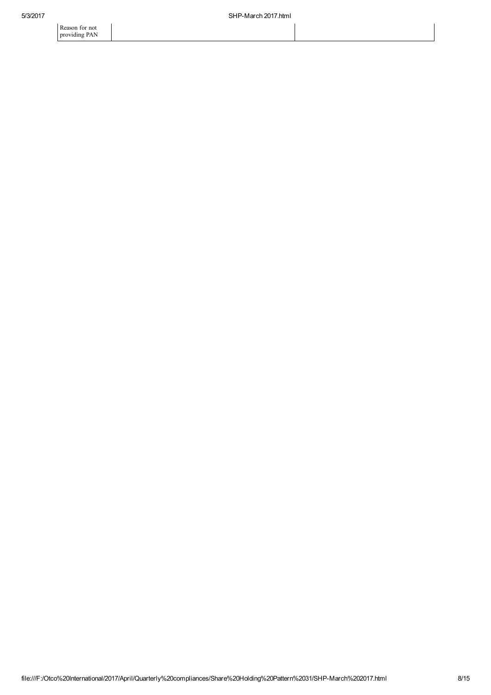Reason for not providing PAN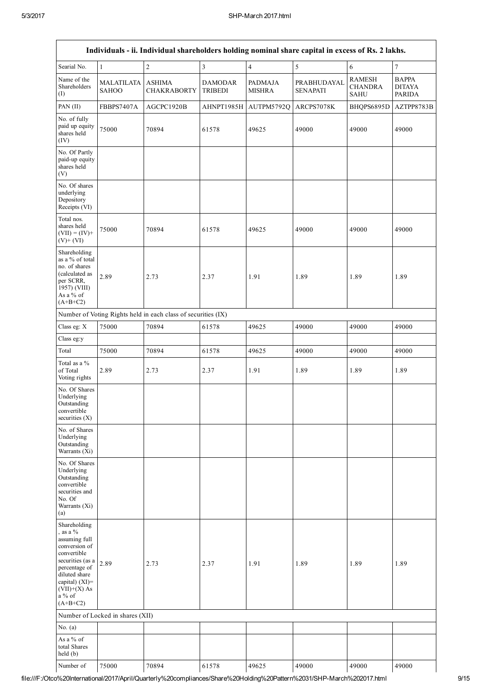| Individuals - ii. Individual shareholders holding nominal share capital in excess of Rs. 2 lakhs.                                                                                              |                                   |                                                               |                                  |                                 |                                |                                                |                                                |  |  |
|------------------------------------------------------------------------------------------------------------------------------------------------------------------------------------------------|-----------------------------------|---------------------------------------------------------------|----------------------------------|---------------------------------|--------------------------------|------------------------------------------------|------------------------------------------------|--|--|
| Searial No.                                                                                                                                                                                    | $\mathbf{1}$                      | $\overline{c}$                                                | 3                                | $\overline{4}$                  | $\sqrt{5}$                     | $\sqrt{6}$                                     | $\tau$                                         |  |  |
| Name of the<br>Shareholders<br>(I)                                                                                                                                                             | <b>MALATILATA</b><br><b>SAHOO</b> | <b>ASHIMA</b><br><b>CHAKRABORTY</b>                           | <b>DAMODAR</b><br><b>TRIBEDI</b> | <b>PADMAJA</b><br><b>MISHRA</b> | PRABHUDAYAL<br><b>SENAPATI</b> | <b>RAMESH</b><br><b>CHANDRA</b><br><b>SAHU</b> | <b>BAPPA</b><br><b>DITAYA</b><br><b>PARIDA</b> |  |  |
| PAN (II)                                                                                                                                                                                       | FBBPS7407A                        | AGCPC1920B                                                    | AHNPT1985H                       | AUTPM5792Q                      | ARCPS7078K                     | BHQPS6895D                                     | AZTPP8783B                                     |  |  |
| No. of fully<br>paid up equity<br>shares held<br>(IV)                                                                                                                                          | 75000                             | 70894                                                         | 61578                            | 49625                           | 49000                          | 49000                                          | 49000                                          |  |  |
| No. Of Partly<br>paid-up equity<br>shares held<br>(V)                                                                                                                                          |                                   |                                                               |                                  |                                 |                                |                                                |                                                |  |  |
| No. Of shares<br>underlying<br>Depository<br>Receipts (VI)                                                                                                                                     |                                   |                                                               |                                  |                                 |                                |                                                |                                                |  |  |
| Total nos.<br>shares held<br>$(VII) = (IV) +$<br>$(V)$ + $(VI)$                                                                                                                                | 75000                             | 70894                                                         | 61578                            | 49625                           | 49000                          | 49000                                          | 49000                                          |  |  |
| Shareholding<br>as a % of total<br>no. of shares<br>(calculated as<br>per SCRR,<br>1957) (VIII)<br>As a % of<br>$(A+B+C2)$                                                                     | 2.89                              | 2.73                                                          | 2.37                             | 1.91                            | 1.89                           | 1.89                                           | 1.89                                           |  |  |
|                                                                                                                                                                                                |                                   | Number of Voting Rights held in each class of securities (IX) |                                  |                                 |                                |                                                |                                                |  |  |
| Class eg: X                                                                                                                                                                                    | 75000                             | 70894                                                         | 61578                            | 49625                           | 49000                          | 49000                                          | 49000                                          |  |  |
| Class eg:y                                                                                                                                                                                     |                                   |                                                               |                                  |                                 |                                |                                                |                                                |  |  |
| Total                                                                                                                                                                                          | 75000                             | 70894                                                         | 61578                            | 49625                           | 49000                          | 49000                                          | 49000                                          |  |  |
| Total as a %<br>of Total<br>Voting rights                                                                                                                                                      | 2.89                              | 2.73                                                          | 2.37                             | 1.91                            | 1.89                           | 1.89                                           | 1.89                                           |  |  |
| No. Of Shares<br>Underlying<br>Outstanding<br>convertible<br>securities $(X)$                                                                                                                  |                                   |                                                               |                                  |                                 |                                |                                                |                                                |  |  |
| No. of Shares<br>Underlying<br>Outstanding<br>Warrants (Xi)                                                                                                                                    |                                   |                                                               |                                  |                                 |                                |                                                |                                                |  |  |
| No. Of Shares<br>Underlying<br>Outstanding<br>convertible<br>securities and<br>No. Of<br>Warrants (Xi)<br>(a)                                                                                  |                                   |                                                               |                                  |                                 |                                |                                                |                                                |  |  |
| Shareholding<br>, as a $\%$<br>assuming full<br>conversion of<br>convertible<br>securities (as a<br>percentage of<br>diluted share<br>capital) (XI)=<br>$(VII)+(X)$ As<br>a % of<br>$(A+B+C2)$ | 2.89                              | 2.73                                                          | 2.37                             | 1.91                            | 1.89                           | 1.89                                           | 1.89                                           |  |  |
|                                                                                                                                                                                                | Number of Locked in shares (XII)  |                                                               |                                  |                                 |                                |                                                |                                                |  |  |
| No. $(a)$                                                                                                                                                                                      |                                   |                                                               |                                  |                                 |                                |                                                |                                                |  |  |
| As a % of<br>total Shares<br>held (b)                                                                                                                                                          |                                   |                                                               |                                  |                                 |                                |                                                |                                                |  |  |
| Number of                                                                                                                                                                                      | 75000                             | 70894                                                         | 61578                            | 49625                           | 49000                          | 49000                                          | 49000                                          |  |  |

file:///F:/Otco%20International/2017/April/Quarterly%20compliances/Share%20Holding%20Pattern%2031/SHPMarch%202017.html 9/15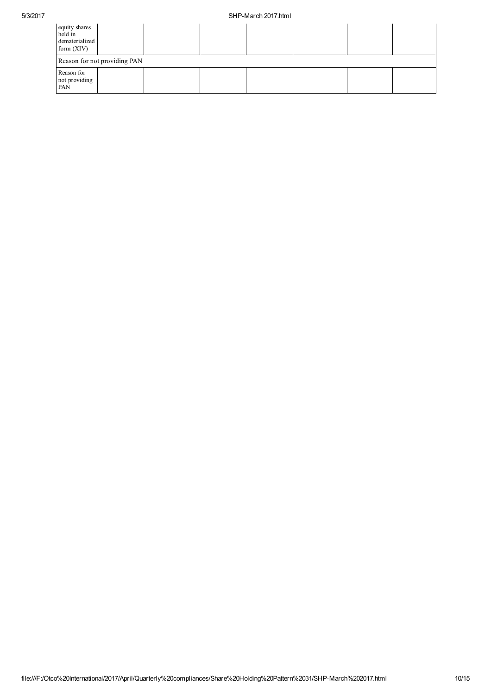## 5/3/2017 SHPMarch 2017.html

| equity shares<br>held in<br>dematerialized<br>form $(XIV)$ |  |  |  |  |  |  |  |  |  |
|------------------------------------------------------------|--|--|--|--|--|--|--|--|--|
| Reason for not providing PAN                               |  |  |  |  |  |  |  |  |  |
| Reason for<br>not providing<br>PAN                         |  |  |  |  |  |  |  |  |  |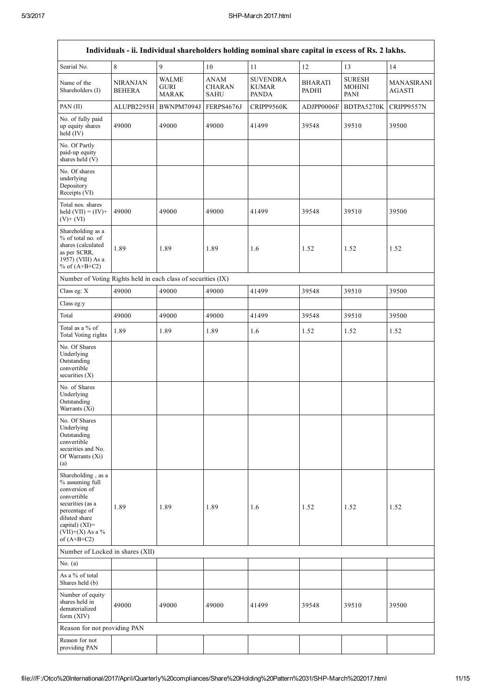$\mathsf{r}$ 

| Individuals - ii. Individual shareholders holding nominal share capital in excess of Rs. 2 lakhs.                                                                                     |                                  |                                             |                                             |                                                 |                                |                                               |                             |  |  |
|---------------------------------------------------------------------------------------------------------------------------------------------------------------------------------------|----------------------------------|---------------------------------------------|---------------------------------------------|-------------------------------------------------|--------------------------------|-----------------------------------------------|-----------------------------|--|--|
| Searial No.                                                                                                                                                                           | 8                                | 9                                           | 10                                          | 11                                              | 12                             | 13                                            | 14                          |  |  |
| Name of the<br>Shareholders (I)                                                                                                                                                       | <b>NIRANJAN</b><br><b>BEHERA</b> | <b>WALME</b><br><b>GURI</b><br><b>MARAK</b> | <b>ANAM</b><br><b>CHARAN</b><br><b>SAHU</b> | <b>SUVENDRA</b><br><b>KUMAR</b><br><b>PANDA</b> | <b>BHARATI</b><br><b>PADHI</b> | <b>SURESH</b><br><b>MOHINI</b><br><b>PANI</b> | MANASIRANI<br><b>AGASTI</b> |  |  |
| PAN (II)                                                                                                                                                                              | ALUPB2295H                       | BWNPM7094J                                  | FERPS4676J                                  | CRIPP9560K                                      | ADJPP0006F                     | BDTPA5270K                                    | CRIPP9557N                  |  |  |
| No. of fully paid<br>up equity shares<br>held (IV)                                                                                                                                    | 49000                            | 49000                                       | 49000                                       | 41499                                           | 39548                          | 39510                                         | 39500                       |  |  |
| No. Of Partly<br>paid-up equity<br>shares held (V)                                                                                                                                    |                                  |                                             |                                             |                                                 |                                |                                               |                             |  |  |
| No. Of shares<br>underlying<br>Depository<br>Receipts (VI)                                                                                                                            |                                  |                                             |                                             |                                                 |                                |                                               |                             |  |  |
| Total nos. shares<br>held $(VII) = (IV) +$<br>$(V)$ + $(VI)$                                                                                                                          | 49000                            | 49000                                       | 49000                                       | 41499                                           | 39548                          | 39510                                         | 39500                       |  |  |
| Shareholding as a<br>% of total no. of<br>shares (calculated<br>as per SCRR,<br>1957) (VIII) As a<br>% of $(A+B+C2)$                                                                  | 1.89                             | 1.89                                        | 1.89                                        | 1.6                                             | 1.52                           | 1.52                                          | 1.52                        |  |  |
| Number of Voting Rights held in each class of securities (IX)                                                                                                                         |                                  |                                             |                                             |                                                 |                                |                                               |                             |  |  |
| Class eg: X                                                                                                                                                                           | 49000                            | 49000                                       | 49000                                       | 41499                                           | 39548                          | 39510                                         | 39500                       |  |  |
| Class eg:y                                                                                                                                                                            |                                  |                                             |                                             |                                                 |                                |                                               |                             |  |  |
| Total                                                                                                                                                                                 | 49000                            | 49000                                       | 49000                                       | 41499                                           | 39548                          | 39510                                         | 39500                       |  |  |
| Total as a % of<br>Total Voting rights                                                                                                                                                | 1.89                             | 1.89                                        | 1.89                                        | 1.6                                             | 1.52                           | 1.52                                          | 1.52                        |  |  |
| No. Of Shares<br>Underlying<br>Outstanding<br>convertible<br>securities $(X)$                                                                                                         |                                  |                                             |                                             |                                                 |                                |                                               |                             |  |  |
| No. of Shares<br>Underlying<br>Outstanding<br>Warrants (Xi)                                                                                                                           |                                  |                                             |                                             |                                                 |                                |                                               |                             |  |  |
| No. Of Shares<br>Underlying<br>Outstanding<br>convertible<br>securities and No.<br>Of Warrants (Xi)<br>(a)                                                                            |                                  |                                             |                                             |                                                 |                                |                                               |                             |  |  |
| Shareholding, as a<br>% assuming full<br>conversion of<br>convertible<br>securities (as a<br>percentage of<br>diluted share<br>capital) (XI)=<br>(VII)+(X) As a $\%$<br>of $(A+B+C2)$ | 1.89                             | 1.89                                        | 1.89                                        | 1.6                                             | 1.52                           | 1.52                                          | 1.52                        |  |  |
| Number of Locked in shares (XII)                                                                                                                                                      |                                  |                                             |                                             |                                                 |                                |                                               |                             |  |  |
| No. $(a)$                                                                                                                                                                             |                                  |                                             |                                             |                                                 |                                |                                               |                             |  |  |
| As a % of total<br>Shares held (b)                                                                                                                                                    |                                  |                                             |                                             |                                                 |                                |                                               |                             |  |  |
| Number of equity<br>shares held in<br>dematerialized<br>form (XIV)                                                                                                                    | 49000                            | 49000                                       | 49000                                       | 41499                                           | 39548                          | 39510                                         | 39500                       |  |  |
| Reason for not providing PAN                                                                                                                                                          |                                  |                                             |                                             |                                                 |                                |                                               |                             |  |  |
| Reason for not<br>providing PAN                                                                                                                                                       |                                  |                                             |                                             |                                                 |                                |                                               |                             |  |  |

 $\overline{\phantom{a}}$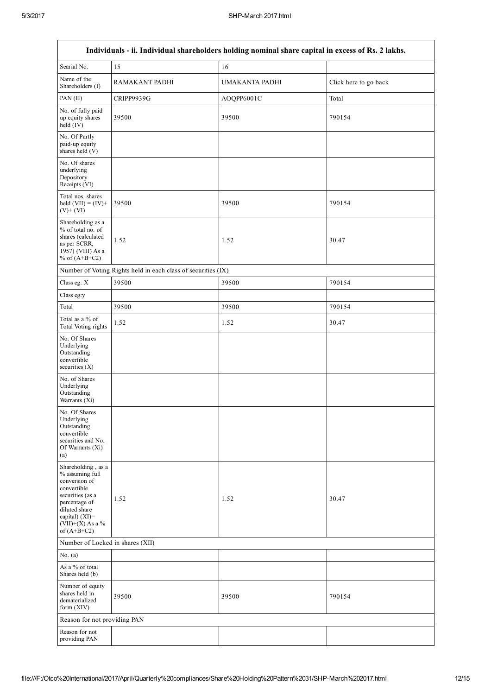$\overline{1}$ 

| Individuals - ii. Individual shareholders holding nominal share capital in excess of Rs. 2 lakhs.                                                                                    |                                                               |                |                       |  |  |  |  |  |  |
|--------------------------------------------------------------------------------------------------------------------------------------------------------------------------------------|---------------------------------------------------------------|----------------|-----------------------|--|--|--|--|--|--|
| Searial No.                                                                                                                                                                          | 15                                                            | 16             |                       |  |  |  |  |  |  |
| Name of the<br>Shareholders (I)                                                                                                                                                      | RAMAKANT PADHI                                                | UMAKANTA PADHI | Click here to go back |  |  |  |  |  |  |
| PAN (II)                                                                                                                                                                             | CRIPP9939G                                                    | AOQPP6001C     | Total                 |  |  |  |  |  |  |
| No. of fully paid<br>up equity shares<br>held (IV)                                                                                                                                   | 39500                                                         | 39500          | 790154                |  |  |  |  |  |  |
| No. Of Partly<br>paid-up equity<br>shares held (V)                                                                                                                                   |                                                               |                |                       |  |  |  |  |  |  |
| No. Of shares<br>underlying<br>Depository<br>Receipts (VI)                                                                                                                           |                                                               |                |                       |  |  |  |  |  |  |
| Total nos. shares<br>held $(VII) = (IV) +$<br>$(V)$ + $(VI)$                                                                                                                         | 39500                                                         | 39500          | 790154                |  |  |  |  |  |  |
| Shareholding as a<br>% of total no. of<br>shares (calculated<br>as per SCRR,<br>1957) (VIII) As a<br>% of $(A+B+C2)$                                                                 | 1.52                                                          | 1.52           | 30.47                 |  |  |  |  |  |  |
|                                                                                                                                                                                      | Number of Voting Rights held in each class of securities (IX) |                |                       |  |  |  |  |  |  |
| Class eg: X                                                                                                                                                                          | 39500                                                         | 39500          | 790154                |  |  |  |  |  |  |
| Class eg:y                                                                                                                                                                           |                                                               |                |                       |  |  |  |  |  |  |
| Total                                                                                                                                                                                | 39500                                                         | 39500          | 790154                |  |  |  |  |  |  |
| Total as a % of<br>Total Voting rights                                                                                                                                               | 1.52                                                          | 1.52           | 30.47                 |  |  |  |  |  |  |
| No. Of Shares<br>Underlying<br>Outstanding<br>convertible<br>securities $(X)$                                                                                                        |                                                               |                |                       |  |  |  |  |  |  |
| No. of Shares<br>Underlying<br>Outstanding<br>Warrants (Xi)                                                                                                                          |                                                               |                |                       |  |  |  |  |  |  |
| No. Of Shares<br>Underlying<br>Outstanding<br>convertible<br>securities and No.<br>Of Warrants (Xi)<br>(a)                                                                           |                                                               |                |                       |  |  |  |  |  |  |
| Shareholding, as a<br>% assuming full<br>conversion of<br>convertible<br>securities (as a<br>percentage of<br>diluted share<br>capital) (XI)=<br>$(VII)+(X)$ As a %<br>of $(A+B+C2)$ | 1.52                                                          | 1.52           | 30.47                 |  |  |  |  |  |  |
| Number of Locked in shares (XII)                                                                                                                                                     |                                                               |                |                       |  |  |  |  |  |  |
| No. $(a)$                                                                                                                                                                            |                                                               |                |                       |  |  |  |  |  |  |
| As a % of total<br>Shares held (b)                                                                                                                                                   |                                                               |                |                       |  |  |  |  |  |  |
| Number of equity<br>shares held in<br>dematerialized<br>form (XIV)                                                                                                                   | 39500                                                         | 39500          | 790154                |  |  |  |  |  |  |
| Reason for not providing PAN                                                                                                                                                         |                                                               |                |                       |  |  |  |  |  |  |
| Reason for not<br>providing PAN                                                                                                                                                      |                                                               |                |                       |  |  |  |  |  |  |

٦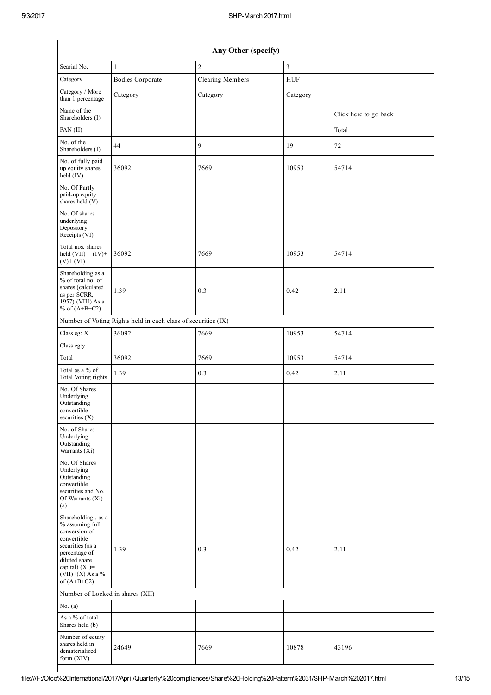| Any Other (specify)                                                                                                                                                                  |                                                               |                         |                |                       |  |  |  |  |  |  |
|--------------------------------------------------------------------------------------------------------------------------------------------------------------------------------------|---------------------------------------------------------------|-------------------------|----------------|-----------------------|--|--|--|--|--|--|
| Searial No.                                                                                                                                                                          | $\mathbf{1}$                                                  | $\mathbf{2}$            | $\mathfrak{Z}$ |                       |  |  |  |  |  |  |
| Category                                                                                                                                                                             | <b>Bodies Corporate</b>                                       | <b>Clearing Members</b> | <b>HUF</b>     |                       |  |  |  |  |  |  |
| Category / More<br>than 1 percentage                                                                                                                                                 | Category                                                      | Category                | Category       |                       |  |  |  |  |  |  |
| Name of the<br>Shareholders (I)                                                                                                                                                      |                                                               |                         |                | Click here to go back |  |  |  |  |  |  |
| PAN (II)                                                                                                                                                                             |                                                               |                         |                | Total                 |  |  |  |  |  |  |
| No. of the<br>Shareholders (I)                                                                                                                                                       | 44                                                            | 9                       | 19             | $72\,$                |  |  |  |  |  |  |
| No. of fully paid<br>up equity shares<br>$\text{held} (IV)$                                                                                                                          | 36092                                                         | 7669                    | 10953          | 54714                 |  |  |  |  |  |  |
| No. Of Partly<br>paid-up equity<br>shares held (V)                                                                                                                                   |                                                               |                         |                |                       |  |  |  |  |  |  |
| No. Of shares<br>underlying<br>Depository<br>Receipts (VI)                                                                                                                           |                                                               |                         |                |                       |  |  |  |  |  |  |
| Total nos. shares<br>held $(VII) = (IV) +$<br>$(V)$ + $(VI)$                                                                                                                         | 36092                                                         | 7669                    | 10953          | 54714                 |  |  |  |  |  |  |
| Shareholding as a<br>% of total no. of<br>shares (calculated<br>as per SCRR,<br>1957) (VIII) As a<br>% of $(A+B+C2)$                                                                 | 1.39                                                          | 0.3                     | 0.42           | 2.11                  |  |  |  |  |  |  |
|                                                                                                                                                                                      | Number of Voting Rights held in each class of securities (IX) |                         |                |                       |  |  |  |  |  |  |
| Class eg: X                                                                                                                                                                          | 36092                                                         | 7669                    | 10953          | 54714                 |  |  |  |  |  |  |
| Class eg:y                                                                                                                                                                           |                                                               |                         |                |                       |  |  |  |  |  |  |
| Total                                                                                                                                                                                | 36092                                                         | 7669                    | 10953          | 54714                 |  |  |  |  |  |  |
| Total as a % of<br><b>Total Voting rights</b>                                                                                                                                        | 1.39                                                          | 0.3                     | 0.42           | 2.11                  |  |  |  |  |  |  |
| No. Of Shares<br>Underlying<br>Outstanding<br>convertible<br>securities $(X)$                                                                                                        |                                                               |                         |                |                       |  |  |  |  |  |  |
| No. of Shares<br>Underlying<br>Outstanding<br>Warrants (Xi)                                                                                                                          |                                                               |                         |                |                       |  |  |  |  |  |  |
| No. Of Shares<br>Underlying<br>Outstanding<br>convertible<br>securities and No.<br>Of Warrants (Xi)<br>(a)                                                                           |                                                               |                         |                |                       |  |  |  |  |  |  |
| Shareholding, as a<br>% assuming full<br>conversion of<br>convertible<br>securities (as a<br>percentage of<br>diluted share<br>capital) (XI)=<br>$(VII)+(X)$ As a %<br>of $(A+B+C2)$ | 1.39                                                          | 0.3                     | 0.42           | 2.11                  |  |  |  |  |  |  |
| Number of Locked in shares (XII)                                                                                                                                                     |                                                               |                         |                |                       |  |  |  |  |  |  |
| No. $(a)$                                                                                                                                                                            |                                                               |                         |                |                       |  |  |  |  |  |  |
| As a % of total<br>Shares held (b)                                                                                                                                                   |                                                               |                         |                |                       |  |  |  |  |  |  |
| Number of equity<br>shares held in<br>dematerialized<br>form (XIV)                                                                                                                   | 24649                                                         | 7669                    | 10878          | 43196                 |  |  |  |  |  |  |